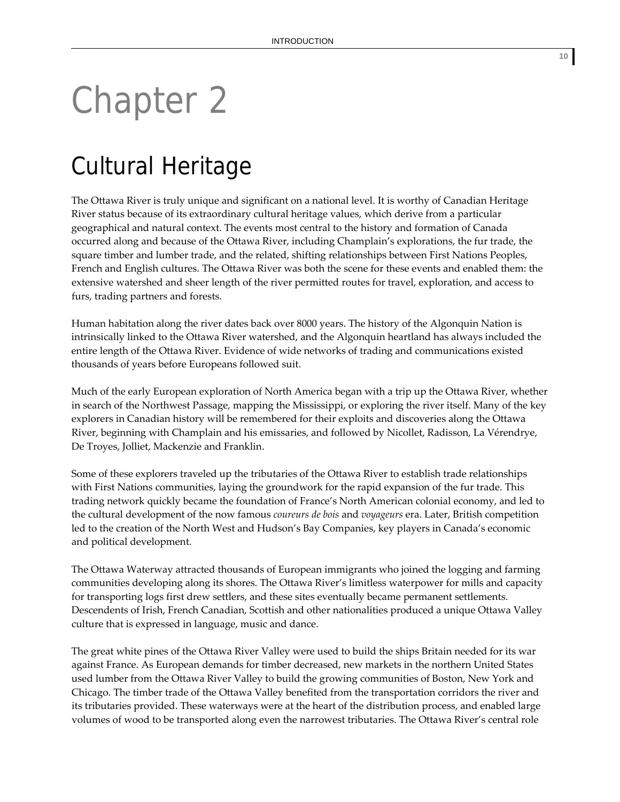# Chapter 2

## Cultural Heritage

The Ottawa River is truly unique and significant on a national level. It is worthy of Canadian Heritage River status because of its extraordinary cultural heritage values, which derive from a particular geographical and natural context. The events most central to the history and formation of Canada occurred along and because of the Ottawa River, including Champlain's explorations, the fur trade, the square timber and lumber trade, and the related, shifting relationships between First Nations Peoples, French and English cultures. The Ottawa River was both the scene for these events and enabled them: the extensive watershed and sheer length of the river permitted routes for travel, exploration, and access to furs, trading partners and forests.

Human habitation along the river dates back over 8000 years. The history of the Algonquin Nation is intrinsically linked to the Ottawa River watershed, and the Algonquin heartland has always included the entire length of the Ottawa River. Evidence of wide networks of trading and communications existed thousands of years before Europeans followed suit.

Much of the early European exploration of North America began with a trip up the Ottawa River, whether in search of the Northwest Passage, mapping the Mississippi, or exploring the river itself. Many of the key explorers in Canadian history will be remembered for their exploits and discoveries along the Ottawa River, beginning with Champlain and his emissaries, and followed by Nicollet, Radisson, La Vérendrye, De Troyes, Jolliet, Mackenzie and Franklin.

Some of these explorers traveled up the tributaries of the Ottawa River to establish trade relationships with First Nations communities, laying the groundwork for the rapid expansion of the fur trade. This trading network quickly became the foundation of France's North American colonial economy, and led to the cultural development of the now famous *coureurs de bois* and *voyageurs* era. Later, British competition led to the creation of the North West and Hudson's Bay Companies, key players in Canada's economic and political development.

The Ottawa Waterway attracted thousands of European immigrants who joined the logging and farming communities developing along its shores. The Ottawa River's limitless waterpower for mills and capacity for transporting logs first drew settlers, and these sites eventually became permanent settlements. Descendents of Irish, French Canadian, Scottish and other nationalities produced a unique Ottawa Valley culture that is expressed in language, music and dance.

The great white pines of the Ottawa River Valley were used to build the ships Britain needed for its war against France. As European demands for timber decreased, new markets in the northern United States used lumber from the Ottawa River Valley to build the growing communities of Boston, New York and Chicago. The timber trade of the Ottawa Valley benefited from the transportation corridors the river and its tributaries provided. These waterways were at the heart of the distribution process, and enabled large volumes of wood to be transported along even the narrowest tributaries. The Ottawa River's central role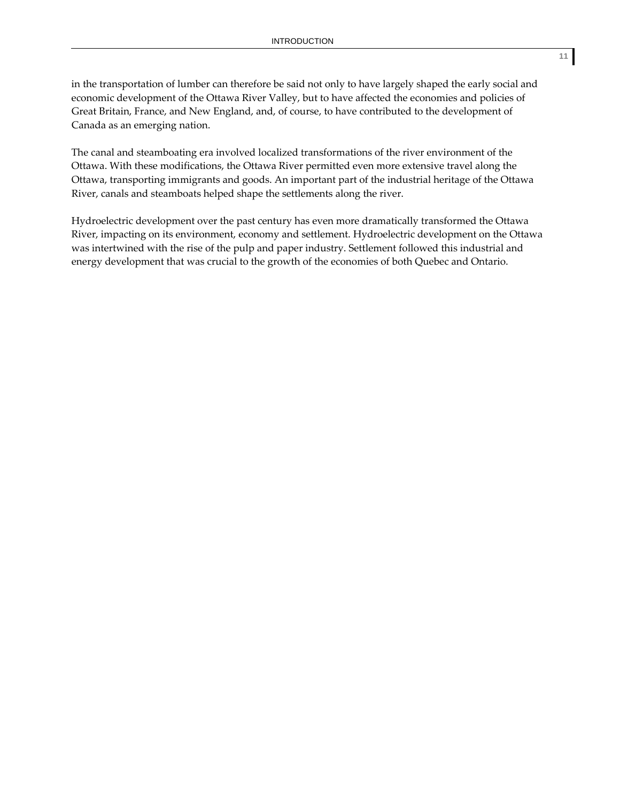in the transportation of lumber can therefore be said not only to have largely shaped the early social and economic development of the Ottawa River Valley, but to have affected the economies and policies of Great Britain, France, and New England, and, of course, to have contributed to the development of Canada as an emerging nation.

The canal and steamboating era involved localized transformations of the river environment of the Ottawa. With these modifications, the Ottawa River permitted even more extensive travel along the Ottawa, transporting immigrants and goods. An important part of the industrial heritage of the Ottawa River, canals and steamboats helped shape the settlements along the river.

Hydroelectric development over the past century has even more dramatically transformed the Ottawa River, impacting on its environment, economy and settlement. Hydroelectric development on the Ottawa was intertwined with the rise of the pulp and paper industry. Settlement followed this industrial and energy development that was crucial to the growth of the economies of both Quebec and Ontario.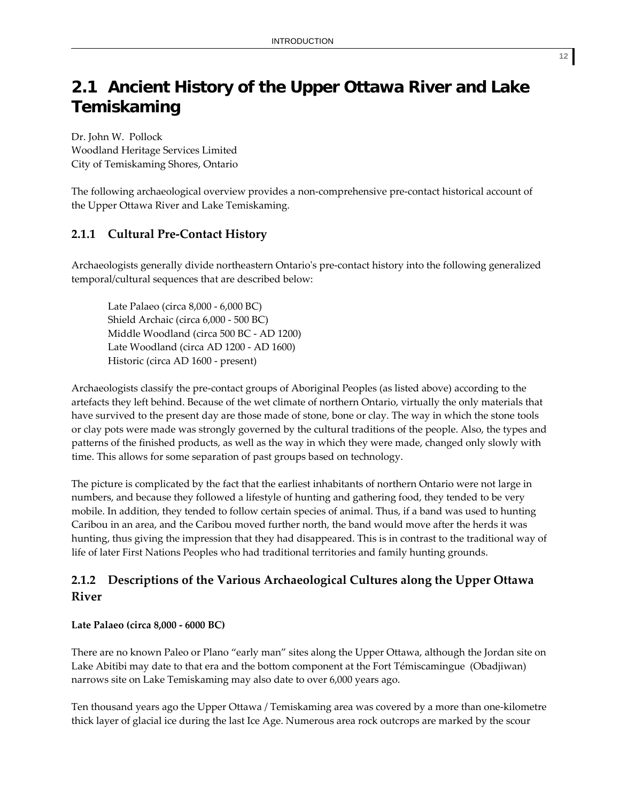### **2.1 Ancient History of the Upper Ottawa River and Lake Temiskaming**

Dr. John W. Pollock Woodland Heritage Services Limited City of Temiskaming Shores, Ontario

The following archaeological overview provides a non‐comprehensive pre‐contact historical account of the Upper Ottawa River and Lake Temiskaming.

#### **2.1.1 Cultural Pre‐Contact History**

Archaeologists generally divide northeastern Ontarioʹs pre‐contact history into the following generalized temporal/cultural sequences that are described below:

Late Palaeo (circa 8,000 ‐ 6,000 BC) Shield Archaic (circa 6,000 ‐ 500 BC) Middle Woodland (circa 500 BC ‐ AD 1200) Late Woodland (circa AD 1200 ‐ AD 1600) Historic (circa AD 1600 ‐ present)

Archaeologists classify the pre‐contact groups of Aboriginal Peoples (as listed above) according to the artefacts they left behind. Because of the wet climate of northern Ontario, virtually the only materials that have survived to the present day are those made of stone, bone or clay. The way in which the stone tools or clay pots were made was strongly governed by the cultural traditions of the people. Also, the types and patterns of the finished products, as well as the way in which they were made, changed only slowly with time. This allows for some separation of past groups based on technology.

The picture is complicated by the fact that the earliest inhabitants of northern Ontario were not large in numbers, and because they followed a lifestyle of hunting and gathering food, they tended to be very mobile. In addition, they tended to follow certain species of animal. Thus, if a band was used to hunting Caribou in an area, and the Caribou moved further north, the band would move after the herds it was hunting, thus giving the impression that they had disappeared. This is in contrast to the traditional way of life of later First Nations Peoples who had traditional territories and family hunting grounds.

#### **2.1.2 Descriptions of the Various Archaeological Cultures along the Upper Ottawa River**

#### **Late Palaeo (circa 8,000 ‐ 6000 BC)**

There are no known Paleo or Plano "early man" sites along the Upper Ottawa, although the Jordan site on Lake Abitibi may date to that era and the bottom component at the Fort Témiscamingue (Obadjiwan) narrows site on Lake Temiskaming may also date to over 6,000 years ago.

Ten thousand years ago the Upper Ottawa / Temiskaming area was covered by a more than one‐kilometre thick layer of glacial ice during the last Ice Age. Numerous area rock outcrops are marked by the scour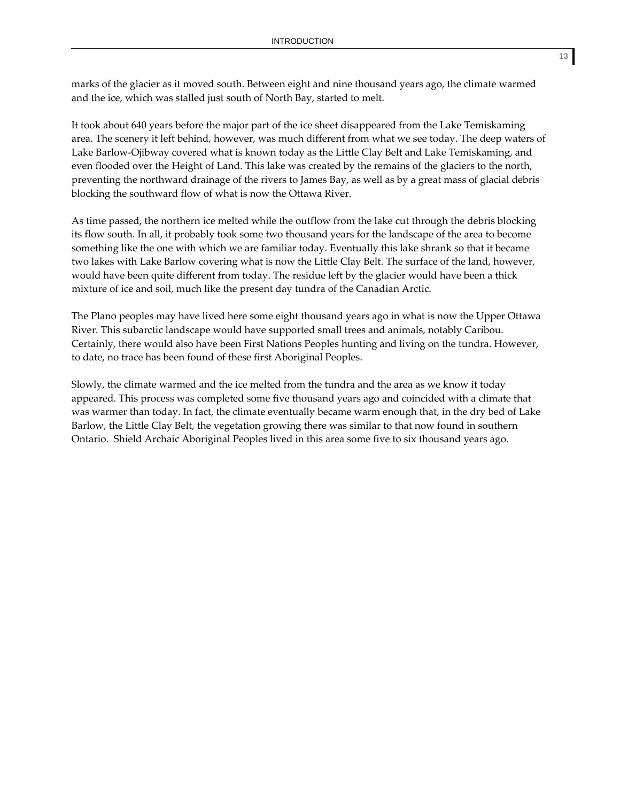marks of the glacier as it moved south. Between eight and nine thousand years ago, the climate warmed and the ice, which was stalled just south of North Bay, started to melt.

It took about 640 years before the major part of the ice sheet disappeared from the Lake Temiskaming area. The scenery it left behind, however, was much different from what we see today. The deep waters of Lake Barlow‐Ojibway covered what is known today as the Little Clay Belt and Lake Temiskaming, and even flooded over the Height of Land. This lake was created by the remains of the glaciers to the north, preventing the northward drainage of the rivers to James Bay, as well as by a great mass of glacial debris blocking the southward flow of what is now the Ottawa River.

As time passed, the northern ice melted while the outflow from the lake cut through the debris blocking its flow south. In all, it probably took some two thousand years for the landscape of the area to become something like the one with which we are familiar today. Eventually this lake shrank so that it became two lakes with Lake Barlow covering what is now the Little Clay Belt. The surface of the land, however, would have been quite different from today. The residue left by the glacier would have been a thick mixture of ice and soil, much like the present day tundra of the Canadian Arctic.

The Plano peoples may have lived here some eight thousand years ago in what is now the Upper Ottawa River. This subarctic landscape would have supported small trees and animals, notably Caribou. Certainly, there would also have been First Nations Peoples hunting and living on the tundra. However, to date, no trace has been found of these first Aboriginal Peoples.

Slowly, the climate warmed and the ice melted from the tundra and the area as we know it today appeared. This process was completed some five thousand years ago and coincided with a climate that was warmer than today. In fact, the climate eventually became warm enough that, in the dry bed of Lake Barlow, the Little Clay Belt, the vegetation growing there was similar to that now found in southern Ontario. Shield Archaic Aboriginal Peoples lived in this area some five to six thousand years ago.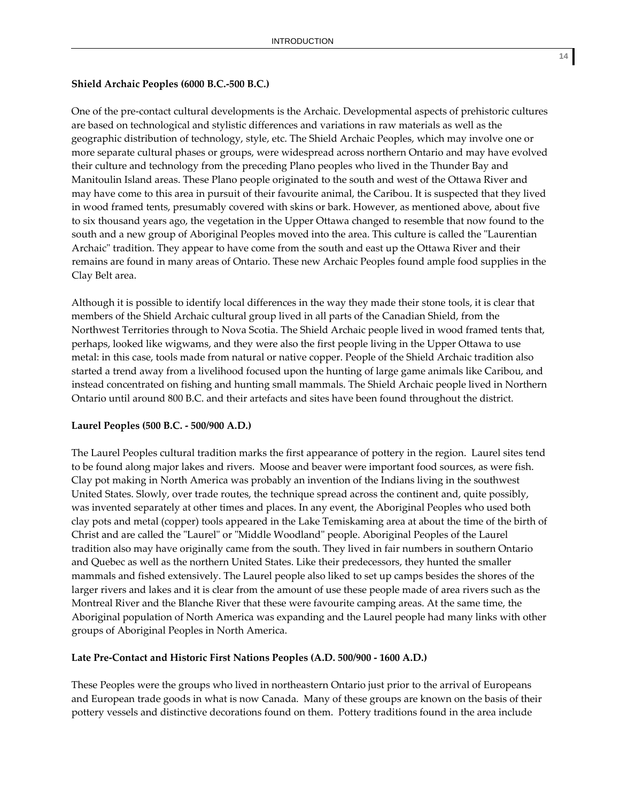#### **Shield Archaic Peoples (6000 B.C.‐500 B.C.)**

One of the pre‐contact cultural developments is the Archaic. Developmental aspects of prehistoric cultures are based on technological and stylistic differences and variations in raw materials as well as the geographic distribution of technology, style, etc. The Shield Archaic Peoples, which may involve one or more separate cultural phases or groups, were widespread across northern Ontario and may have evolved their culture and technology from the preceding Plano peoples who lived in the Thunder Bay and Manitoulin Island areas. These Plano people originated to the south and west of the Ottawa River and may have come to this area in pursuit of their favourite animal, the Caribou. It is suspected that they lived in wood framed tents, presumably covered with skins or bark. However, as mentioned above, about five to six thousand years ago, the vegetation in the Upper Ottawa changed to resemble that now found to the south and a new group of Aboriginal Peoples moved into the area. This culture is called the "Laurentian" Archaic" tradition. They appear to have come from the south and east up the Ottawa River and their remains are found in many areas of Ontario. These new Archaic Peoples found ample food supplies in the Clay Belt area.

Although it is possible to identify local differences in the way they made their stone tools, it is clear that members of the Shield Archaic cultural group lived in all parts of the Canadian Shield, from the Northwest Territories through to Nova Scotia. The Shield Archaic people lived in wood framed tents that, perhaps, looked like wigwams, and they were also the first people living in the Upper Ottawa to use metal: in this case, tools made from natural or native copper. People of the Shield Archaic tradition also started a trend away from a livelihood focused upon the hunting of large game animals like Caribou, and instead concentrated on fishing and hunting small mammals. The Shield Archaic people lived in Northern Ontario until around 800 B.C. and their artefacts and sites have been found throughout the district.

#### **Laurel Peoples (500 B.C. ‐ 500/900 A.D.)**

The Laurel Peoples cultural tradition marks the first appearance of pottery in the region. Laurel sites tend to be found along major lakes and rivers. Moose and beaver were important food sources, as were fish. Clay pot making in North America was probably an invention of the Indians living in the southwest United States. Slowly, over trade routes, the technique spread across the continent and, quite possibly, was invented separately at other times and places. In any event, the Aboriginal Peoples who used both clay pots and metal (copper) tools appeared in the Lake Temiskaming area at about the time of the birth of Christ and are called the "Laurel" or "Middle Woodland" people. Aboriginal Peoples of the Laurel tradition also may have originally came from the south. They lived in fair numbers in southern Ontario and Quebec as well as the northern United States. Like their predecessors, they hunted the smaller mammals and fished extensively. The Laurel people also liked to set up camps besides the shores of the larger rivers and lakes and it is clear from the amount of use these people made of area rivers such as the Montreal River and the Blanche River that these were favourite camping areas. At the same time, the Aboriginal population of North America was expanding and the Laurel people had many links with other groups of Aboriginal Peoples in North America.

#### **Late Pre‐Contact and Historic First Nations Peoples (A.D. 500/900 ‐ 1600 A.D.)**

These Peoples were the groups who lived in northeastern Ontario just prior to the arrival of Europeans and European trade goods in what is now Canada. Many of these groups are known on the basis of their pottery vessels and distinctive decorations found on them. Pottery traditions found in the area include